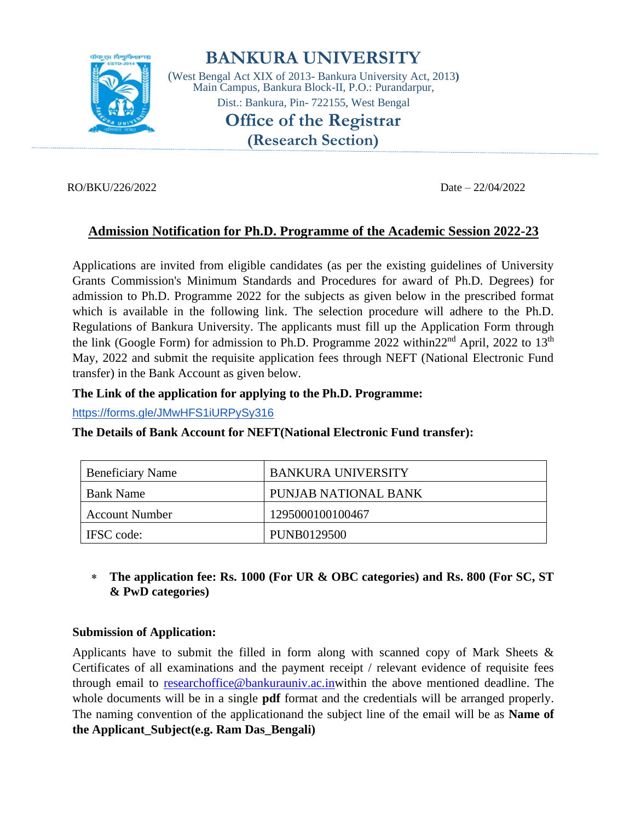

# **BANKURA UNIVERSITY**

(West Bengal Act XIX of 2013- Bankura University Act, 2013**)** Main Campus, Bankura Block-II, P.O.: Purandarpur, Dist.: Bankura, Pin- 722155, West Bengal

# **Office of the Registrar**

**(Research Section)**

#### RO/BKU/226/2022 Date – 22/04/2022

# **Admission Notification for Ph.D. Programme of the Academic Session 2022-23**

Applications are invited from eligible candidates (as per the existing guidelines of University Grants Commission's Minimum Standards and Procedures for award of Ph.D. Degrees) for admission to Ph.D. Programme 2022 for the subjects as given below in the prescribed format which is available in the following link. The selection procedure will adhere to the Ph.D. Regulations of Bankura University. The applicants must fill up the Application Form through the link (Google Form) for admission to Ph.D. Programme 2022 within  $22<sup>nd</sup>$  April, 2022 to  $13<sup>th</sup>$ May, 2022 and submit the requisite application fees through NEFT (National Electronic Fund transfer) in the Bank Account as given below.

#### **The Link of the application for applying to the Ph.D. Programme:**

<https://forms.gle/JMwHFS1iURPySy316>

| <b>Beneficiary Name</b> | BANKURA UNIVERSITY   |
|-------------------------|----------------------|
| <b>Bank Name</b>        | PUNJAB NATIONAL BANK |
| <b>Account Number</b>   | 1295000100100467     |
| IFSC code:              | PUNB0129500          |

#### **The Details of Bank Account for NEFT(National Electronic Fund transfer):**

 **The application fee: Rs. 1000 (For UR & OBC categories) and Rs. 800 (For SC, ST & PwD categories)**

#### **Submission of Application:**

Applicants have to submit the filled in form along with scanned copy of Mark Sheets  $\&$ Certificates of all examinations and the payment receipt / relevant evidence of requisite fees through email to [researchoffice@bankurauniv.ac.inw](mailto:researchoffice@bankurauniv.ac.in)ithin the above mentioned deadline. The whole documents will be in a single **pdf** format and the credentials will be arranged properly. The naming convention of the applicationand the subject line of the email will be as **Name of the Applicant\_Subject(e.g. Ram Das\_Bengali)**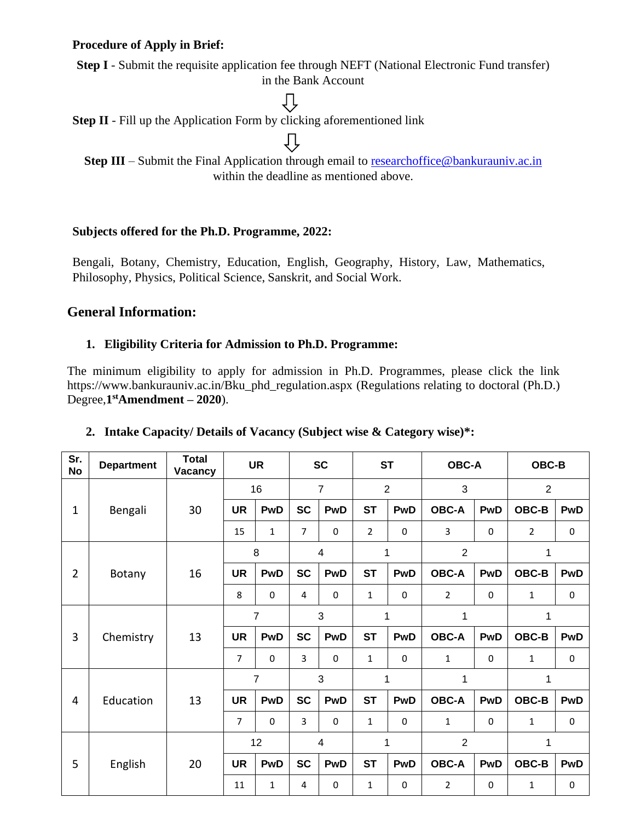#### **Procedure of Apply in Brief:**

**Step I** - Submit the requisite application fee through NEFT (National Electronic Fund transfer) in the Bank Account

ſ

T È

**Step II** - Fill up the Application Form by clicking aforementioned link

**Step III** – Submit the Final Application through email to [researchoffice@bankurauniv.ac.in](mailto:researchoffice@bankurauniv.ac.in) within the deadline as mentioned above.

#### **Subjects offered for the Ph.D. Programme, 2022:**

Bengali, Botany, Chemistry, Education, English, Geography, History, Law, Mathematics, Philosophy, Physics, Political Science, Sanskrit, and Social Work.

# **General Information:**

#### **1. Eligibility Criteria for Admission to Ph.D. Programme:**

The minimum eligibility to apply for admission in Ph.D. Programmes, please click the link https://www.bankurauniv.ac.in/Bku\_phd\_regulation.aspx (Regulations relating to doctoral (Ph.D.) Degree,**1 stAmendment – 2020**).

| Sr.<br><b>No</b> | <b>Department</b> | <b>Total</b><br>Vacancy |                | <b>UR</b>   |                | <b>SC</b>    | <b>ST</b>      |             | <b>OBC-A</b>   |            | OBC-B          |            |
|------------------|-------------------|-------------------------|----------------|-------------|----------------|--------------|----------------|-------------|----------------|------------|----------------|------------|
|                  | Bengali           | 30                      | 16             |             | $\overline{7}$ |              | $\overline{2}$ |             | 3              |            | $\overline{2}$ |            |
| $\mathbf 1$      |                   |                         | <b>UR</b>      | PwD         | <b>SC</b>      | <b>PwD</b>   | <b>ST</b>      | PwD         | <b>OBC-A</b>   | <b>PwD</b> | OBC-B          | PwD        |
|                  |                   |                         | 15             | $\mathbf 1$ | 7              | 0            | $\overline{2}$ | 0           | 3              | 0          | $\overline{2}$ | 0          |
|                  | Botany            | 16                      | 8              |             | 4              |              | 1              |             | $\overline{2}$ |            |                |            |
| $\overline{2}$   |                   |                         | <b>UR</b>      | <b>PwD</b>  | <b>SC</b>      | <b>PwD</b>   | <b>ST</b>      | PwD         | <b>OBC-A</b>   | PwD        | OBC-B          | PwD        |
|                  |                   |                         | 8              | 0           | 4              | $\mathbf{0}$ | 1              | 0           | $\overline{2}$ | 0          | 1              | 0          |
|                  | Chemistry         | 13                      | $\overline{7}$ |             | 3              |              | 1              |             | 1              |            |                |            |
| 3                |                   |                         | <b>UR</b>      | <b>PwD</b>  | <b>SC</b>      | PwD          | <b>ST</b>      | <b>PwD</b>  | <b>OBC-A</b>   | PwD        | OBC-B          | <b>PwD</b> |
|                  |                   |                         | $\overline{7}$ | $\Omega$    | 3              | $\Omega$     | $\mathbf{1}$   | $\Omega$    | $\mathbf{1}$   | $\Omega$   | $\mathbf{1}$   | $\pmb{0}$  |
|                  | Education         | 13                      | $\overline{7}$ |             | 3              |              | 1              |             | 1              |            | 1              |            |
| 4                |                   |                         | <b>UR</b>      | <b>PwD</b>  | <b>SC</b>      | PwD          | <b>ST</b>      | <b>PwD</b>  | <b>OBC-A</b>   | PwD        | OBC-B          | <b>PwD</b> |
|                  |                   |                         | $\overline{7}$ | $\Omega$    | 3              | $\mathbf 0$  | 1              | $\mathbf 0$ | $\mathbf{1}$   | $\Omega$   | 1              | 0          |
|                  | English           | 20                      | 12             |             | $\overline{4}$ |              | 1              |             | $\overline{2}$ |            |                |            |
| 5                |                   |                         | <b>UR</b>      | PwD         | <b>SC</b>      | PwD          | <b>ST</b>      | <b>PwD</b>  | <b>OBC-A</b>   | PwD        | OBC-B          | <b>PwD</b> |
|                  |                   |                         | 11             | 1           | 4              | 0            | 1              | 0           | $\overline{2}$ | 0          | 1              | 0          |

#### **2. Intake Capacity/ Details of Vacancy (Subject wise & Category wise)\*:**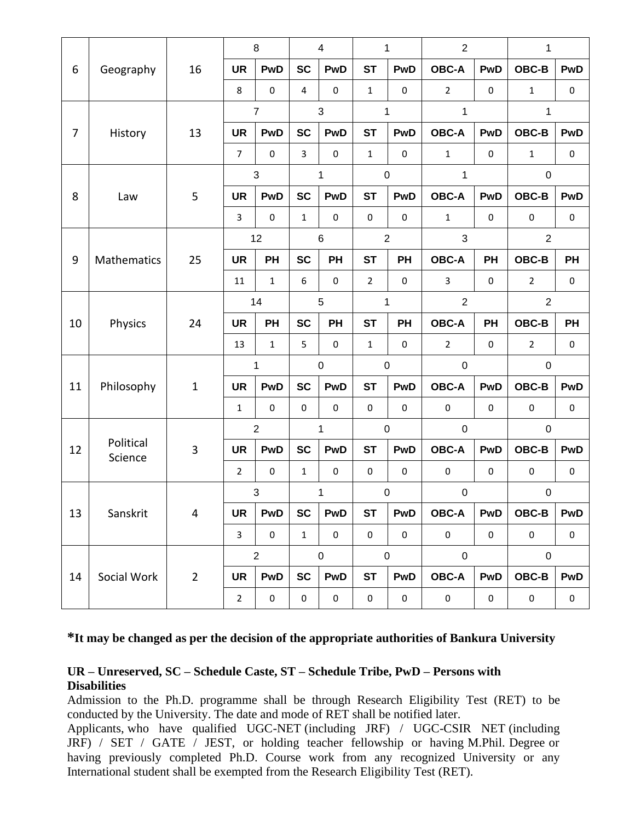|                |                      | 16             | 8              |              | $\overline{\mathcal{A}}$ |             | $\mathbf{1}$     |             | $\overline{2}$ |             | $\mathbf{1}$     |            |
|----------------|----------------------|----------------|----------------|--------------|--------------------------|-------------|------------------|-------------|----------------|-------------|------------------|------------|
| 6              | Geography            |                | <b>UR</b>      | <b>PwD</b>   | <b>SC</b>                | <b>PwD</b>  | <b>ST</b>        | <b>PwD</b>  | <b>OBC-A</b>   | <b>PwD</b>  | OBC-B            | <b>PwD</b> |
|                |                      |                | 8              | $\pmb{0}$    | $\overline{4}$           | $\pmb{0}$   | $\mathbf{1}$     | $\mathbf 0$ | $\overline{2}$ | $\mathbf 0$ | $\mathbf{1}$     | $\pmb{0}$  |
|                | History              | 13             | $\overline{7}$ |              | $\mathbf{3}$             |             | $\mathbf{1}$     |             | $\mathbf 1$    |             | 1                |            |
| $\overline{7}$ |                      |                | <b>UR</b>      | <b>PwD</b>   | <b>SC</b>                | <b>PwD</b>  | <b>ST</b>        | <b>PwD</b>  | <b>OBC-A</b>   | <b>PwD</b>  | OBC-B            | <b>PwD</b> |
|                |                      |                | $\overline{7}$ | $\mathbf 0$  | 3                        | $\pmb{0}$   | $\mathbf{1}$     | $\mathbf 0$ | $\mathbf{1}$   | $\mathbf 0$ | $\mathbf{1}$     | $\pmb{0}$  |
|                | Law                  | 5              | 3              |              | 1                        |             | $\pmb{0}$        |             | 1              |             | $\boldsymbol{0}$ |            |
| 8              |                      |                | <b>UR</b>      | <b>PwD</b>   | <b>SC</b>                | <b>PwD</b>  | <b>ST</b>        | <b>PwD</b>  | <b>OBC-A</b>   | <b>PwD</b>  | OBC-B            | <b>PwD</b> |
|                |                      |                | $\overline{3}$ | $\mathbf 0$  | $\mathbf{1}$             | $\pmb{0}$   | 0                | $\mathbf 0$ | $\mathbf{1}$   | $\mathbf 0$ | $\pmb{0}$        | $\pmb{0}$  |
|                |                      |                | 12             |              | $\,6$                    |             | $\overline{2}$   |             | 3              |             | $\overline{2}$   |            |
| 9              | Mathematics          | 25             | <b>UR</b>      | PH           | <b>SC</b>                | <b>PH</b>   | <b>ST</b>        | PH          | <b>OBC-A</b>   | <b>PH</b>   | OBC-B            | PH         |
|                |                      |                | 11             | $\mathbf{1}$ | 6                        | 0           | $\overline{2}$   | 0           | $\overline{3}$ | 0           | $\overline{2}$   | $\pmb{0}$  |
|                | Physics              | 24             | 14             |              | $\overline{5}$           |             | $\mathbf{1}$     |             | $\overline{2}$ |             | $\overline{2}$   |            |
| 10             |                      |                | <b>UR</b>      | PH           | <b>SC</b>                | <b>PH</b>   | <b>ST</b>        | PH          | <b>OBC-A</b>   | <b>PH</b>   | OBC-B            | <b>PH</b>  |
|                |                      |                | 13             | $\mathbf{1}$ | 5                        | 0           | $\mathbf{1}$     | 0           | $\overline{2}$ | $\mathbf 0$ | $\overline{2}$   | $\pmb{0}$  |
|                | Philosophy           | $\mathbf{1}$   | 1              |              | $\pmb{0}$                |             | $\mathbf 0$      |             | $\mathbf 0$    |             | $\mathbf 0$      |            |
| 11             |                      |                | <b>UR</b>      | <b>PwD</b>   | <b>SC</b>                | <b>PwD</b>  | <b>ST</b>        | <b>PwD</b>  | <b>OBC-A</b>   | <b>PwD</b>  | OBC-B            | <b>PwD</b> |
|                |                      |                | $\mathbf{1}$   | $\pmb{0}$    | $\pmb{0}$                | $\mathbf 0$ | $\pmb{0}$        | $\mathbf 0$ | $\pmb{0}$      | 0           | $\pmb{0}$        | $\pmb{0}$  |
|                |                      | 3              | $\overline{2}$ |              | 1                        |             | $\pmb{0}$        |             | $\pmb{0}$      |             | $\mathbf 0$      |            |
| 12             | Political<br>Science |                | <b>UR</b>      | <b>PwD</b>   | <b>SC</b>                | <b>PwD</b>  | <b>ST</b>        | <b>PwD</b>  | <b>OBC-A</b>   | <b>PwD</b>  | OBC-B            | <b>PwD</b> |
|                |                      |                | $\overline{2}$ | $\pmb{0}$    | $\mathbf{1}$             | $\mathbf 0$ | $\pmb{0}$        | $\mathbf 0$ | $\pmb{0}$      | $\mathbf 0$ | $\pmb{0}$        | $\pmb{0}$  |
|                | Sanskrit             | 4              | 3              |              | 1                        |             | $\boldsymbol{0}$ |             | $\pmb{0}$      |             | $\boldsymbol{0}$ |            |
| 13             |                      |                | <b>UR</b>      | <b>PwD</b>   | <b>SC</b>                | <b>PwD</b>  | <b>ST</b>        | <b>PwD</b>  | <b>OBC-A</b>   | PwD         | OBC-B            | <b>PwD</b> |
|                |                      |                | $\mathsf{3}$   | $\pmb{0}$    | $\mathbf 1$              | $\pmb{0}$   | $\mathsf 0$      | $\pmb{0}$   | $\pmb{0}$      | $\pmb{0}$   | $\pmb{0}$        | $\pmb{0}$  |
|                | Social Work          | $\overline{2}$ | $\overline{2}$ |              | $\pmb{0}$                |             |                  | $\pmb{0}$   | $\pmb{0}$      |             | $\boldsymbol{0}$ |            |
| 14             |                      |                | <b>UR</b>      | <b>PwD</b>   | <b>SC</b>                | <b>PwD</b>  | <b>ST</b>        | <b>PwD</b>  | <b>OBC-A</b>   | <b>PwD</b>  | OBC-B            | <b>PwD</b> |
|                |                      |                | $\overline{2}$ | $\pmb{0}$    | $\pmb{0}$                | $\pmb{0}$   | 0                | $\pmb{0}$   | $\pmb{0}$      | $\pmb{0}$   | $\pmb{0}$        | 0          |

# **\*It may be changed as per the decision of the appropriate authorities of Bankura University**

#### **UR – Unreserved, SC – Schedule Caste, ST – Schedule Tribe, PwD – Persons with Disabilities**

Admission to the Ph.D. programme shall be through Research Eligibility Test (RET) to be conducted by the University. The date and mode of RET shall be notified later.

Applicants, who have qualified UGC-NET (including JRF) / UGC-CSIR NET (including JRF) / SET / GATE / JEST, or holding teacher fellowship or having M.Phil. Degree or having previously completed Ph.D. Course work from any recognized University or any International student shall be exempted from the Research Eligibility Test (RET).